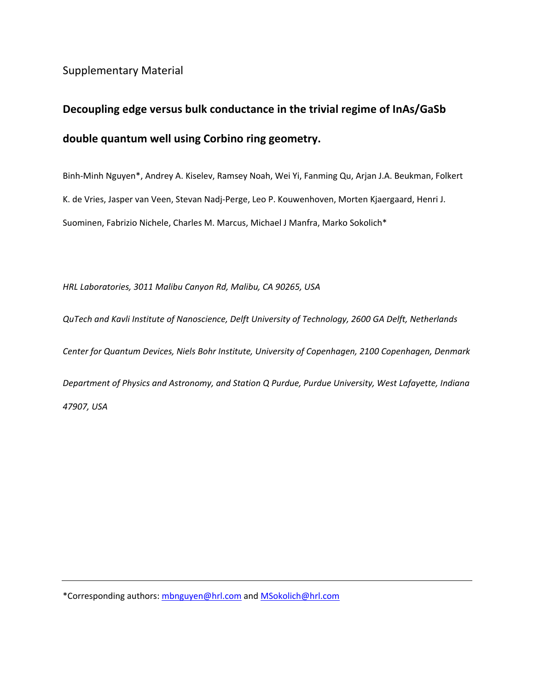Supplementary Material

# **Decoupling edge versus bulk conductance in the trivial regime of InAs/GaSb double quantum well using Corbino ring geometry.**

Binh-Minh Nguyen\*, Andrey A. Kiselev, Ramsey Noah, Wei Yi, Fanming Qu, Arjan J.A. Beukman, Folkert K. de Vries, Jasper van Veen, Stevan Nadj-Perge, Leo P. Kouwenhoven, Morten Kjaergaard, Henri J. Suominen, Fabrizio Nichele, Charles M. Marcus, Michael J Manfra, Marko Sokolich\*

*HRL Laboratories, 3011 Malibu Canyon Rd, Malibu, CA 90265, USA* 

*QuTech and Kavli Institute of Nanoscience, Delft University of Technology, 2600 GA Delft, Netherlands* 

*Center for Quantum Devices, Niels Bohr Institute, University of Copenhagen, 2100 Copenhagen, Denmark Department of Physics and Astronomy, and Station Q Purdue, Purdue University, West Lafayette, Indiana 47907, USA* 

\*Corresponding authors: mbnguyen@hrl.com and MSokolich@hrl.com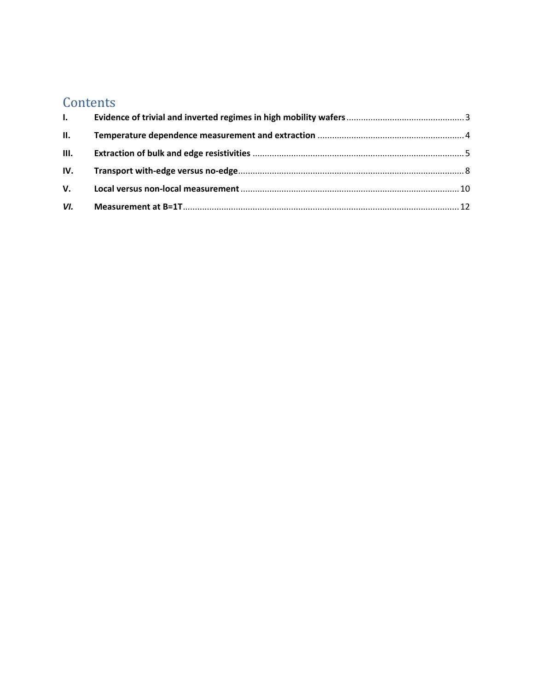## **Contents**

| $\mathbf{L}$    |  |
|-----------------|--|
| $\mathbf{II}$ . |  |
|                 |  |
|                 |  |
|                 |  |
|                 |  |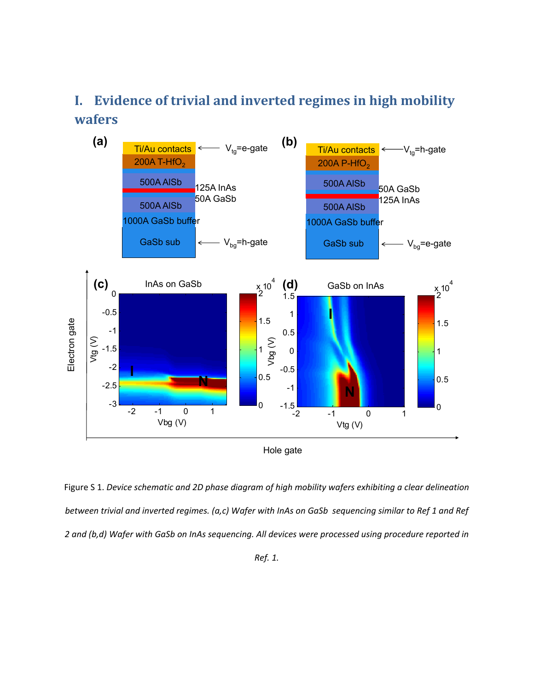## **I. Evidence of trivial and inverted regimes in high mobility wafers**



Figure S 1. *Device schematic and 2D phase diagram of high mobility wafers exhibiting a clear delineation between trivial and inverted regimes. (a,c) Wafer with InAs on GaSb sequencing similar to Ref 1 and Ref 2 and (b,d) Wafer with GaSb on InAs sequencing. All devices were processed using procedure reported in* 

*Ref. 1.*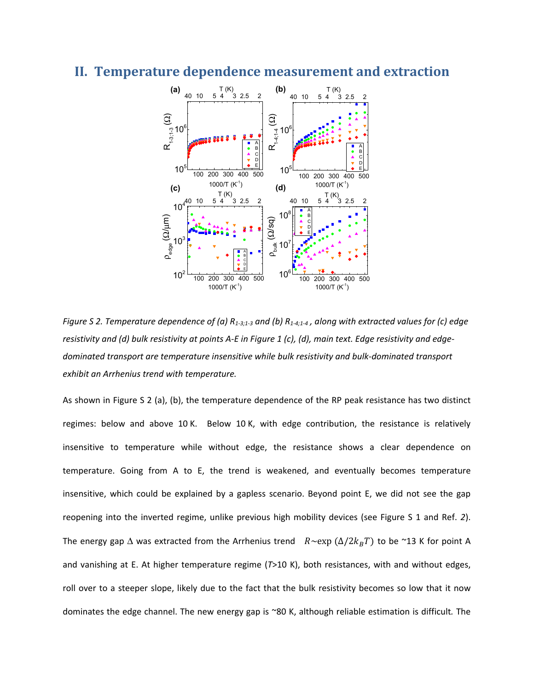#### **II. Temperature dependence measurement and extraction**



*Figure S 2. Temperature dependence of (a) R*<sub>1-3;1-3</sub> and (b) R<sub>1-4;1-4</sub>, along with extracted values for (c) edge *resistivity and (d) bulk resistivity at points A-E in Figure 1 (c), (d), main text. Edge resistivity and edgedominated transport are temperature insensitive while bulk resistivity and bulk-dominated transport exhibit an Arrhenius trend with temperature.* 

As shown in Figure S 2 (a), (b), the temperature dependence of the RP peak resistance has two distinct regimes: below and above 10 K. Below 10 K, with edge contribution, the resistance is relatively insensitive to temperature while without edge, the resistance shows a clear dependence on temperature. Going from A to E, the trend is weakened, and eventually becomes temperature insensitive, which could be explained by a gapless scenario. Beyond point E, we did not see the gap reopening into the inverted regime, unlike previous high mobility devices (see Figure S 1 and Ref. *2*). The energy gap  $\Delta$  was extracted from the Arrhenius trend  $R \sim \exp(\Delta/2k_BT)$  to be ~13 K for point A and vanishing at E. At higher temperature regime (*T*>10 K), both resistances, with and without edges, roll over to a steeper slope, likely due to the fact that the bulk resistivity becomes so low that it now dominates the edge channel. The new energy gap is ~80 K, although reliable estimation is difficult*.* The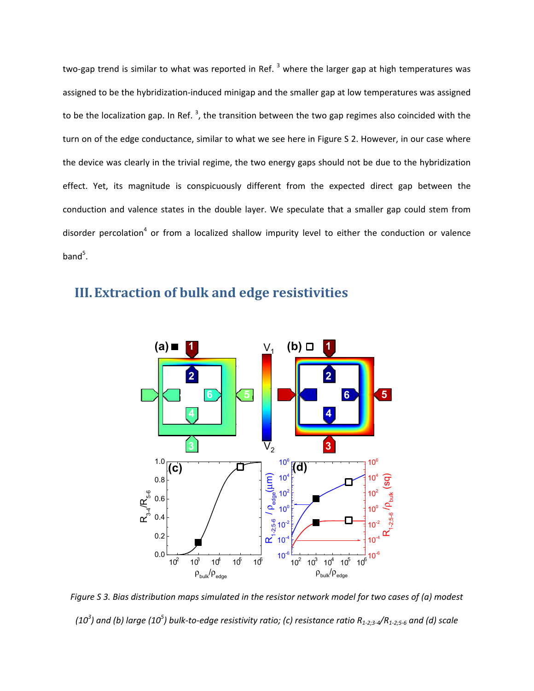two-gap trend is similar to what was reported in Ref.  $^3$  where the larger gap at high temperatures was assigned to be the hybridization-induced minigap and the smaller gap at low temperatures was assigned to be the localization gap. In Ref.<sup>3</sup>, the transition between the two gap regimes also coincided with the turn on of the edge conductance, similar to what we see here in Figure S 2. However, in our case where the device was clearly in the trivial regime, the two energy gaps should not be due to the hybridization effect. Yet, its magnitude is conspicuously different from the expected direct gap between the conduction and valence states in the double layer. We speculate that a smaller gap could stem from disorder percolation<sup>4</sup> or from a localized shallow impurity level to either the conduction or valence band<sup>5</sup>.



### **III.Extraction of bulk and edge resistivities**

*Figure S 3. Bias distribution maps simulated in the resistor network model for two cases of (a) modest*  (10<sup>3</sup>) and (b) large (10<sup>5</sup>) bulk-to-edge resistivity ratio; (c) resistance ratio R<sub>1-2;3-4</sub>/R<sub>1-2;5-6</sub> and (d) scale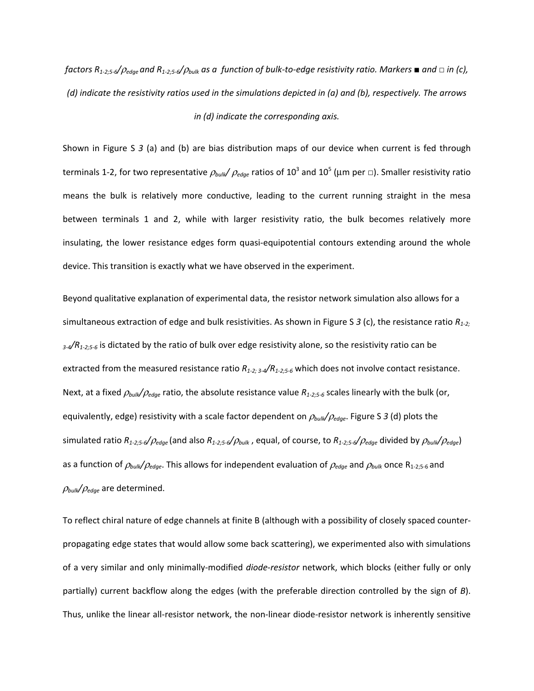*factors R1-2;5-6/*ρ*edge and R1-2;5-6/*ρ*bulk as a function of bulk-to-edge resistivity ratio. Markers ■ and □ in (c), (d) indicate the resistivity ratios used in the simulations depicted in (a) and (b), respectively. The arrows in (d) indicate the corresponding axis.* 

Shown in Figure S *3* (a) and (b) are bias distribution maps of our device when current is fed through terminals 1-2, for two representative  $\rho_{\textit{bulk}}/$   $\rho_{\textit{edge}}$  ratios of 10<sup>3</sup> and 10<sup>5</sup> (μm per □). Smaller resistivity ratio means the bulk is relatively more conductive, leading to the current running straight in the mesa between terminals 1 and 2, while with larger resistivity ratio, the bulk becomes relatively more insulating, the lower resistance edges form quasi-equipotential contours extending around the whole device. This transition is exactly what we have observed in the experiment.

Beyond qualitative explanation of experimental data, the resistor network simulation also allows for a simultaneous extraction of edge and bulk resistivities. As shown in Figure S *3* (c), the resistance ratio *R1-2; 3-4/R1-2;5-6* is dictated by the ratio of bulk over edge resistivity alone, so the resistivity ratio can be extracted from the measured resistance ratio *R1-2; 3-4/R1-2;5-6* which does not involve contact resistance. Next, at a fixed ρ*bulk/*ρ*edge* ratio, the absolute resistance value *R1-2;5-6* scales linearly with the bulk (or, equivalently, edge) resistivity with a scale factor dependent on ρ*bulk/*ρ*edge*. Figure S *3* (d) plots the simulated ratio *R1-2;5-6/*ρ*edge* (and also *R1-2;5-6/*ρ*bulk* , equal, of course, to *R1-2;5-6/*ρ*edge* divided by ρ*bulk/*ρ*edge*) as a function of ρ*bulk/*ρ*edge*. This allows for independent evaluation of ρ*edge* and ρ*bulk* once R1-2;5-6 and ρ*bulk/*ρ*edge* are determined.

To reflect chiral nature of edge channels at finite B (although with a possibility of closely spaced counterpropagating edge states that would allow some back scattering), we experimented also with simulations of a very similar and only minimally-modified *diode-resistor* network, which blocks (either fully or only partially) current backflow along the edges (with the preferable direction controlled by the sign of *B*). Thus, unlike the linear all-resistor network, the non-linear diode-resistor network is inherently sensitive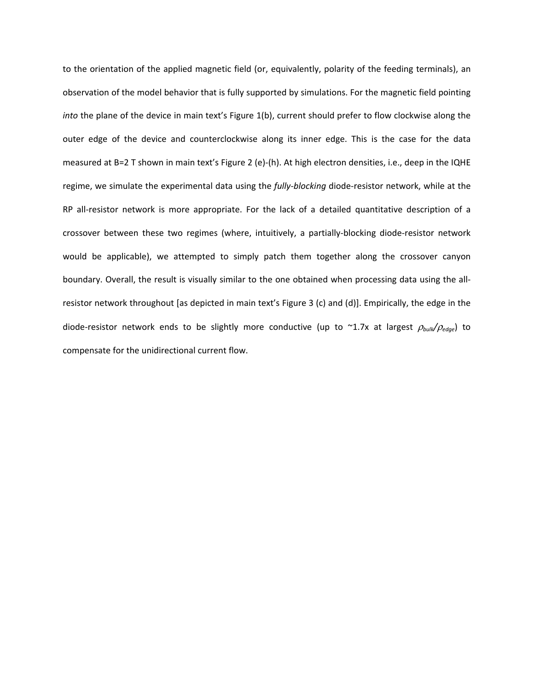to the orientation of the applied magnetic field (or, equivalently, polarity of the feeding terminals), an observation of the model behavior that is fully supported by simulations. For the magnetic field pointing *into* the plane of the device in main text's Figure 1(b), current should prefer to flow clockwise along the outer edge of the device and counterclockwise along its inner edge. This is the case for the data measured at B=2 T shown in main text's Figure 2 (e)-(h). At high electron densities, i.e., deep in the IQHE regime, we simulate the experimental data using the *fully-blocking* diode-resistor network, while at the RP all-resistor network is more appropriate. For the lack of a detailed quantitative description of a crossover between these two regimes (where, intuitively, a partially-blocking diode-resistor network would be applicable), we attempted to simply patch them together along the crossover canyon boundary. Overall, the result is visually similar to the one obtained when processing data using the allresistor network throughout [as depicted in main text's Figure 3 (c) and (d)]. Empirically, the edge in the diode-resistor network ends to be slightly more conductive (up to ~1.7x at largest ρ*bulk/*ρ*edge*) to compensate for the unidirectional current flow.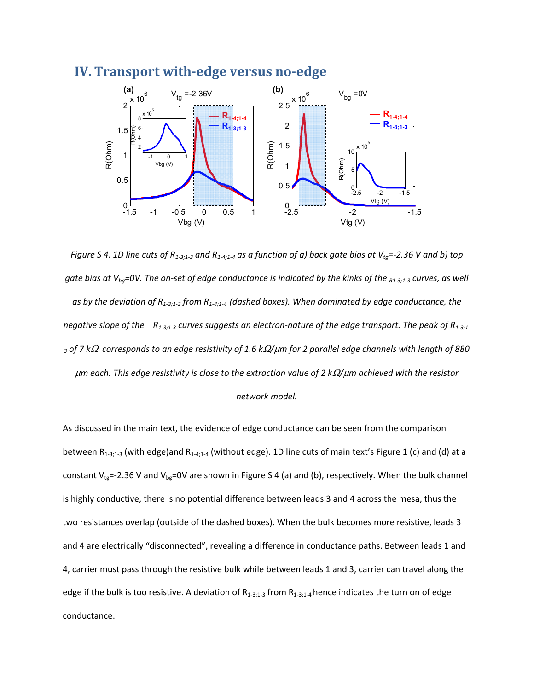

#### **IV. Transport with-edge versus no-edge**

*Figure S 4. 1D line cuts of R*<sub>1-3:1-3</sub> and R<sub>1-4:1-4</sub> as a function of a) back gate bias at V<sub>ta</sub>=-2.36 V and b) top *gate bias at V<sub>ba</sub>=0V. The on-set of edge conductance is indicated by the kinks of the <sub>R1-3;1-3</sub> curves, as well as by the deviation of R1-3;1-3 from R1-4;1-4 (dashed boxes). When dominated by edge conductance, the negative slope of the R1-3;1-3 curves suggests an electron-nature of the edge transport. The peak of R1-3;1- 3 of 7 k*Ω *corresponds to an edge resistivity of 1.6 k*Ω*/*μ*m for 2 parallel edge channels with length of 880*  μ*m each. This edge resistivity is close to the extraction value of 2 k*Ω*/*μ*m achieved with the resistor network model.* 

As discussed in the main text, the evidence of edge conductance can be seen from the comparison between  $R_{1-3;1-3}$  (with edge)and  $R_{1-4;1-4}$  (without edge). 1D line cuts of main text's Figure 1 (c) and (d) at a constant V<sub>tg</sub>=-2.36 V and V<sub>bg</sub>=0V are shown in Figure S 4 (a) and (b), respectively. When the bulk channel is highly conductive, there is no potential difference between leads 3 and 4 across the mesa, thus the two resistances overlap (outside of the dashed boxes). When the bulk becomes more resistive, leads 3 and 4 are electrically "disconnected", revealing a difference in conductance paths. Between leads 1 and 4, carrier must pass through the resistive bulk while between leads 1 and 3, carrier can travel along the edge if the bulk is too resistive. A deviation of  $R_{1-3;1-3}$  from  $R_{1-3;1-4}$  hence indicates the turn on of edge conductance.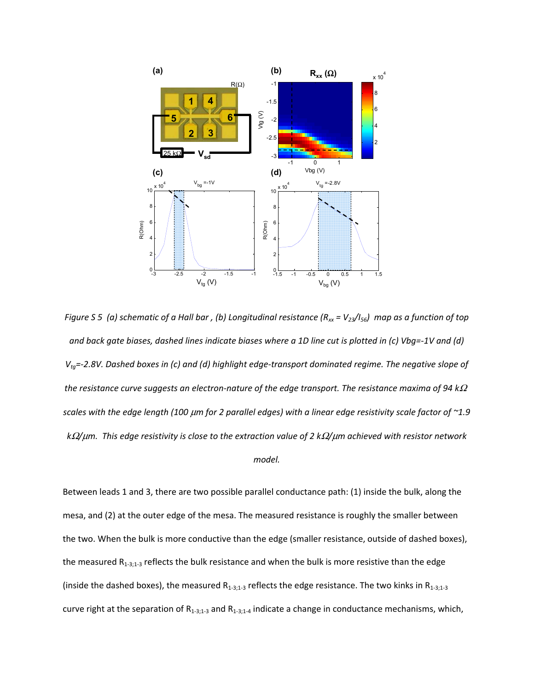

*Figure S 5 (a) schematic of a Hall bar, (b) Longitudinal resistance (* $R_{xx}$  *= V<sub>23</sub>/I<sub>56</sub>) map as a function of top and back gate biases, dashed lines indicate biases where a 1D line cut is plotted in (c) Vbg=-1V and (d) Vtg=-2.8V. Dashed boxes in (c) and (d) highlight edge-transport dominated regime. The negative slope of the resistance curve suggests an electron-nature of the edge transport. The resistance maxima of 94 k*<sup>Ω</sup> *scales with the edge length (100* μ*m for 2 parallel edges) with a linear edge resistivity scale factor of ~1.9 k*Ω*/*μ*m. This edge resistivity is close to the extraction value of 2 k*Ω*/*μ*m achieved with resistor network model.* 

Between leads 1 and 3, there are two possible parallel conductance path: (1) inside the bulk, along the mesa, and (2) at the outer edge of the mesa. The measured resistance is roughly the smaller between the two. When the bulk is more conductive than the edge (smaller resistance, outside of dashed boxes), the measured  $R_{1-3;1-3}$  reflects the bulk resistance and when the bulk is more resistive than the edge (inside the dashed boxes), the measured  $R_{1-3;1-3}$  reflects the edge resistance. The two kinks in  $R_{1-3;1-3}$ curve right at the separation of  $R_{1-3;1-3}$  and  $R_{1-3;1-4}$  indicate a change in conductance mechanisms, which,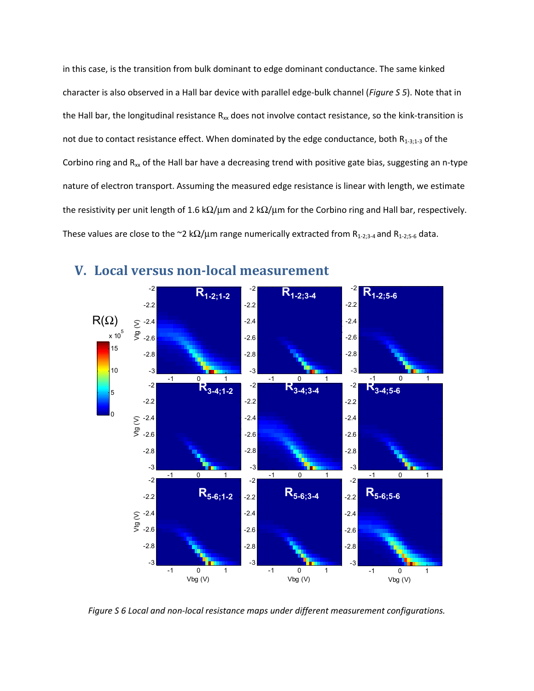in this case, is the transition from bulk dominant to edge dominant conductance. The same kinked character is also observed in a Hall bar device with parallel edge-bulk channel (*Figure S 5*). Note that in the Hall bar, the longitudinal resistance  $R_{xx}$  does not involve contact resistance, so the kink-transition is not due to contact resistance effect. When dominated by the edge conductance, both  $R_{1-3;1-3}$  of the Corbino ring and  $R_{xx}$  of the Hall bar have a decreasing trend with positive gate bias, suggesting an n-type nature of electron transport. Assuming the measured edge resistance is linear with length, we estimate the resistivity per unit length of 1.6 k $\Omega/\mu$ m and 2 k $\Omega/\mu$ m for the Corbino ring and Hall bar, respectively. These values are close to the ~2 k $\Omega/\mu$ m range numerically extracted from R<sub>1-2;3-4</sub> and R<sub>1-2;5-6</sub> data.



#### **V. Local versus non-local measurement**

*Figure S 6 Local and non-local resistance maps under different measurement configurations.*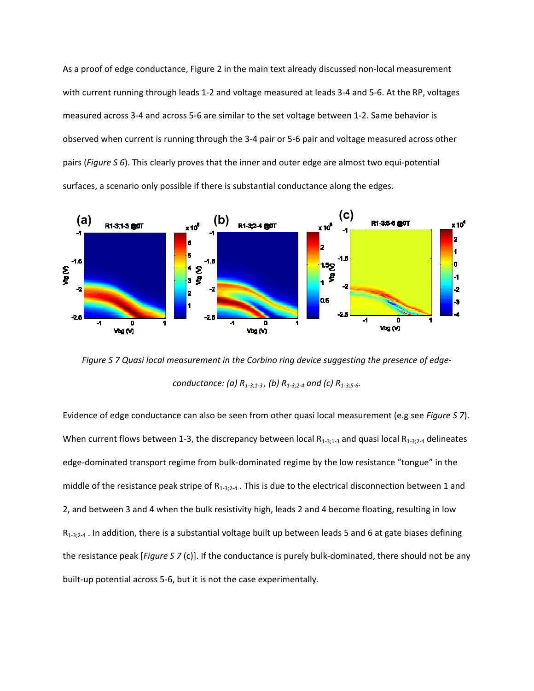As a proof of edge conductance, Figure 2 in the main text already discussed non-local measurement with current running through leads 1-2 and voltage measured at leads 3-4 and 5-6. At the RP, voltages measured across 3-4 and across 5-6 are similar to the set voltage between 1-2. Same behavior is observed when current is running through the 3-4 pair or 5-6 pair and voltage measured across other pairs (*Figure S 6*). This clearly proves that the inner and outer edge are almost two equi-potential surfaces, a scenario only possible if there is substantial conductance along the edges.



*Figure S 7 Quasi local measurement in the Corbino ring device suggesting the presence of edgeconductance: (a) R1-3;1-3 , (b) R1-3;2-4 and (c) R1-3;5-6.* 

Evidence of edge conductance can also be seen from other quasi local measurement (e.g see *Figure S 7*). When current flows between 1-3, the discrepancy between local  $R_{1-3;1-3}$  and quasi local  $R_{1-3;2-4}$  delineates edge-dominated transport regime from bulk-dominated regime by the low resistance "tongue" in the middle of the resistance peak stripe of  $R_{1-3,2-4}$ . This is due to the electrical disconnection between 1 and 2, and between 3 and 4 when the bulk resistivity high, leads 2 and 4 become floating, resulting in low  $R_{1-3:2-4}$  . In addition, there is a substantial voltage built up between leads 5 and 6 at gate biases defining the resistance peak [*Figure S 7* (c)]. If the conductance is purely bulk-dominated, there should not be any built-up potential across 5-6, but it is not the case experimentally.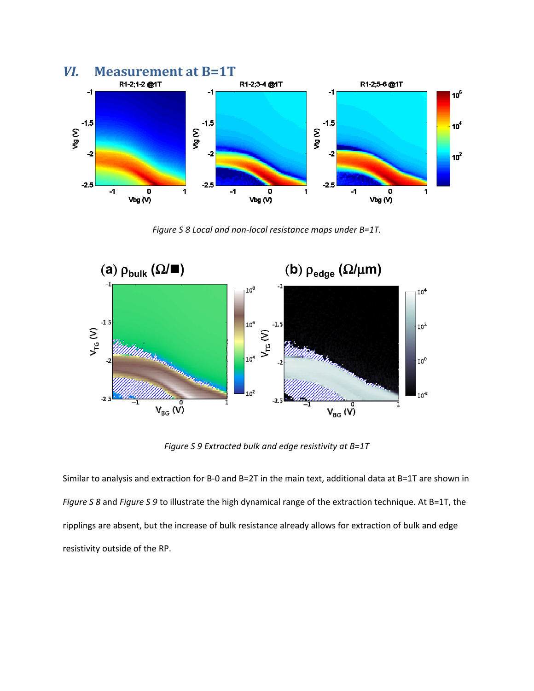

*Figure S 8 Local and non-local resistance maps under B=1T.* 



*Figure S 9 Extracted bulk and edge resistivity at B=1T* 

Similar to analysis and extraction for B-0 and B=2T in the main text, additional data at B=1T are shown in *Figure S 8* and *Figure S 9* to illustrate the high dynamical range of the extraction technique. At B=1T, the ripplings are absent, but the increase of bulk resistance already allows for extraction of bulk and edge resistivity outside of the RP.